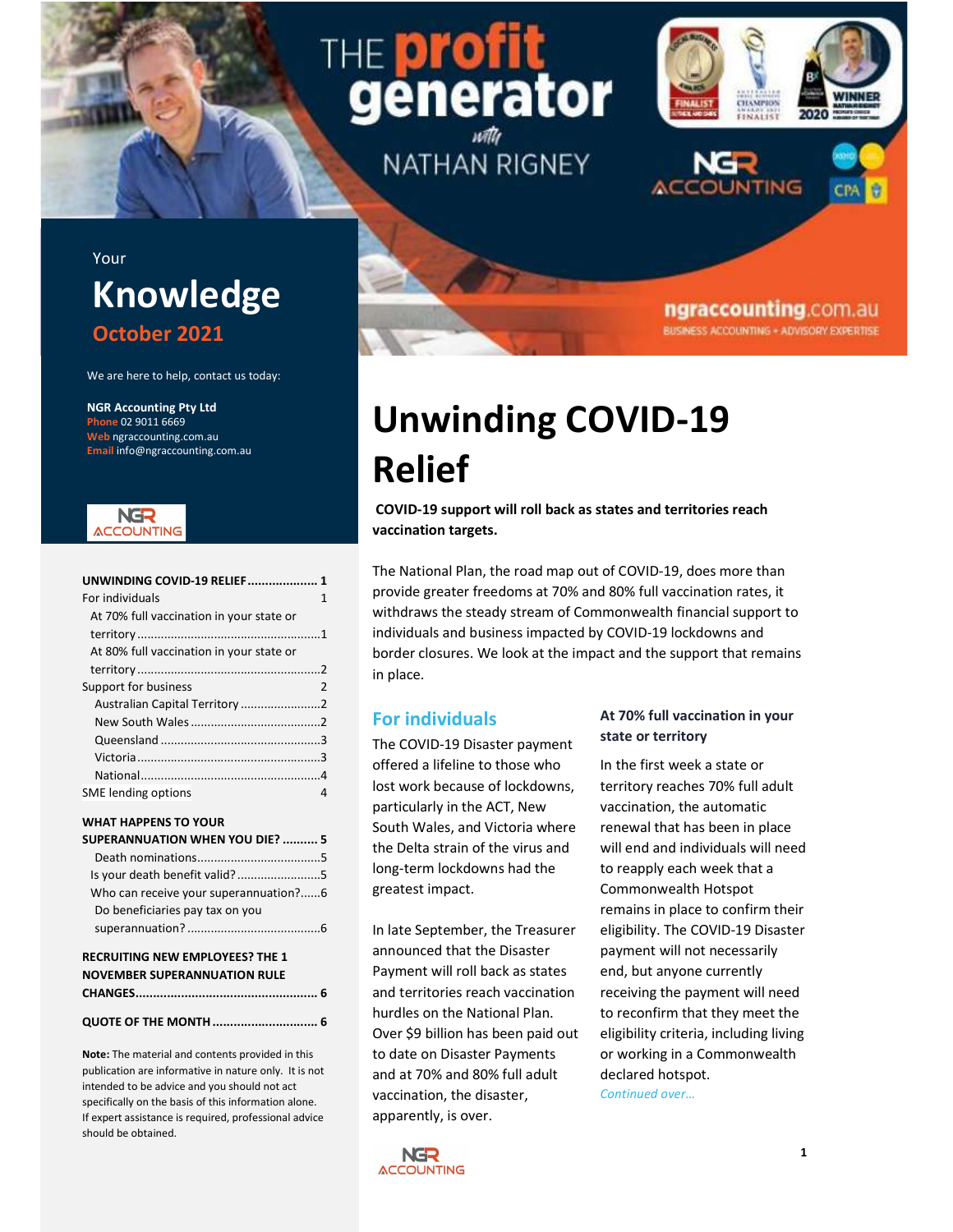# Dr erator

**NATHAN RIGNEY** 



ngraccounting.com.au **BUSINESS ACCOUNTING - ADVISORY EXPERTISE** 

### Your Knowledge October 2021

We are here to help, contact us today:

NGR Accounting Pty Ltd Phone 02 9011 6669 Web ngraccounting.com.au Email info@ngraccounting.com.au



| UNWINDING COVID-19 RELIEF 1              |   |
|------------------------------------------|---|
| For individuals                          | 1 |
| At 70% full vaccination in your state or |   |
|                                          |   |
| At 80% full vaccination in your state or |   |
|                                          |   |
| Support for business                     | 2 |
|                                          |   |
|                                          |   |
|                                          |   |
|                                          |   |
|                                          |   |
| SME lending options                      | Δ |

#### WHAT HAPPENS TO YOUR

| <b>SUPERANNUATION WHEN YOU DIE?  5</b> |
|----------------------------------------|
|                                        |
| Is your death benefit valid?5          |
| Who can receive your superannuation?6  |
| Do beneficiaries pay tax on you        |
|                                        |

#### RECRUITING NEW EMPLOYEES? THE 1 NOVEMBER SUPERANNUATION RULE CHANGES .................................................... 6

QUOTE OF THE MONTH .............................. 6

Note: The material and contents provided in this publication are informative in nature only. It is not intended to be advice and you should not act specifically on the basis of this information alone. If expert assistance is required, professional advice should be obtained.

## Unwinding COVID-19 Relief

COVID-19 support will roll back as states and territories reach vaccination targets.

The National Plan, the road map out of COVID-19, does more than provide greater freedoms at 70% and 80% full vaccination rates, it withdraws the steady stream of Commonwealth financial support to individuals and business impacted by COVID-19 lockdowns and border closures. We look at the impact and the support that remains in place.

#### For individuals

The COVID-19 Disaster payment offered a lifeline to those who lost work because of lockdowns, particularly in the ACT, New South Wales, and Victoria where the Delta strain of the virus and long-term lockdowns had the greatest impact.

In late September, the Treasurer announced that the Disaster Payment will roll back as states and territories reach vaccination hurdles on the National Plan. Over \$9 billion has been paid out to date on Disaster Payments and at 70% and 80% full adult vaccination, the disaster, apparently, is over.

#### At 70% full vaccination in your state or territory

In the first week a state or territory reaches 70% full adult vaccination, the automatic renewal that has been in place will end and individuals will need to reapply each week that a Commonwealth Hotspot remains in place to confirm their eligibility. The COVID-19 Disaster payment will not necessarily end, but anyone currently receiving the payment will need to reconfirm that they meet the eligibility criteria, including living or working in a Commonwealth declared hotspot.

Continued over…

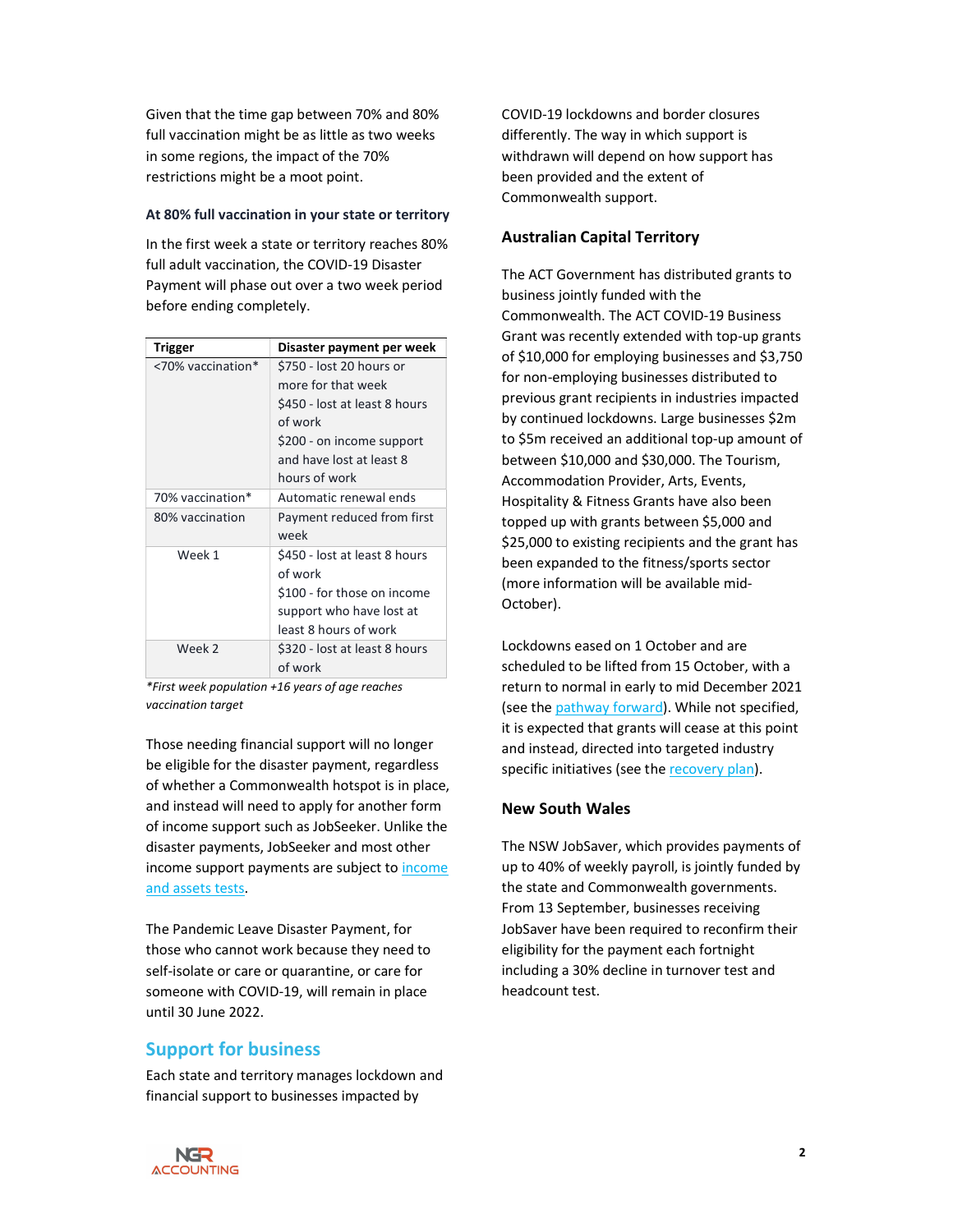Given that the time gap between 70% and 80% full vaccination might be as little as two weeks in some regions, the impact of the 70% restrictions might be a moot point.

#### At 80% full vaccination in your state or territory

In the first week a state or territory reaches 80% full adult vaccination, the COVID-19 Disaster Payment will phase out over a two week period before ending completely.

| Trigger           | Disaster payment per week                                                                                                                                            |
|-------------------|----------------------------------------------------------------------------------------------------------------------------------------------------------------------|
| <70% vaccination* | \$750 - lost 20 hours or<br>more for that week<br>\$450 - lost at least 8 hours<br>of work<br>\$200 - on income support<br>and have lost at least 8<br>hours of work |
| 70% vaccination*  | Automatic renewal ends                                                                                                                                               |
| 80% vaccination   | Payment reduced from first<br>week                                                                                                                                   |
| Week 1            | \$450 - lost at least 8 hours<br>of work<br>\$100 - for those on income<br>support who have lost at<br>least 8 hours of work                                         |
| Week 2            | \$320 - lost at least 8 hours<br>of work                                                                                                                             |

\*First week population +16 years of age reaches vaccination target

Those needing financial support will no longer be eligible for the disaster payment, regardless of whether a Commonwealth hotspot is in place, and instead will need to apply for another form of income support such as JobSeeker. Unlike the disaster payments, JobSeeker and most other income support payments are subject to income and assets tests.

The Pandemic Leave Disaster Payment, for those who cannot work because they need to self-isolate or care or quarantine, or care for someone with COVID-19, will remain in place until 30 June 2022.

#### Support for business

Each state and territory manages lockdown and financial support to businesses impacted by

COVID-19 lockdowns and border closures differently. The way in which support is withdrawn will depend on how support has been provided and the extent of Commonwealth support.

#### Australian Capital Territory

The ACT Government has distributed grants to business jointly funded with the Commonwealth. The ACT COVID-19 Business Grant was recently extended with top-up grants of \$10,000 for employing businesses and \$3,750 for non-employing businesses distributed to previous grant recipients in industries impacted by continued lockdowns. Large businesses \$2m to \$5m received an additional top-up amount of between \$10,000 and \$30,000. The Tourism, Accommodation Provider, Arts, Events, Hospitality & Fitness Grants have also been topped up with grants between \$5,000 and \$25,000 to existing recipients and the grant has been expanded to the fitness/sports sector (more information will be available mid-October).

Lockdowns eased on 1 October and are scheduled to be lifted from 15 October, with a return to normal in early to mid December 2021 (see the pathway forward). While not specified, it is expected that grants will cease at this point and instead, directed into targeted industry specific initiatives (see the recovery plan).

#### New South Wales

The NSW JobSaver, which provides payments of up to 40% of weekly payroll, is jointly funded by the state and Commonwealth governments. From 13 September, businesses receiving JobSaver have been required to reconfirm their eligibility for the payment each fortnight including a 30% decline in turnover test and headcount test.

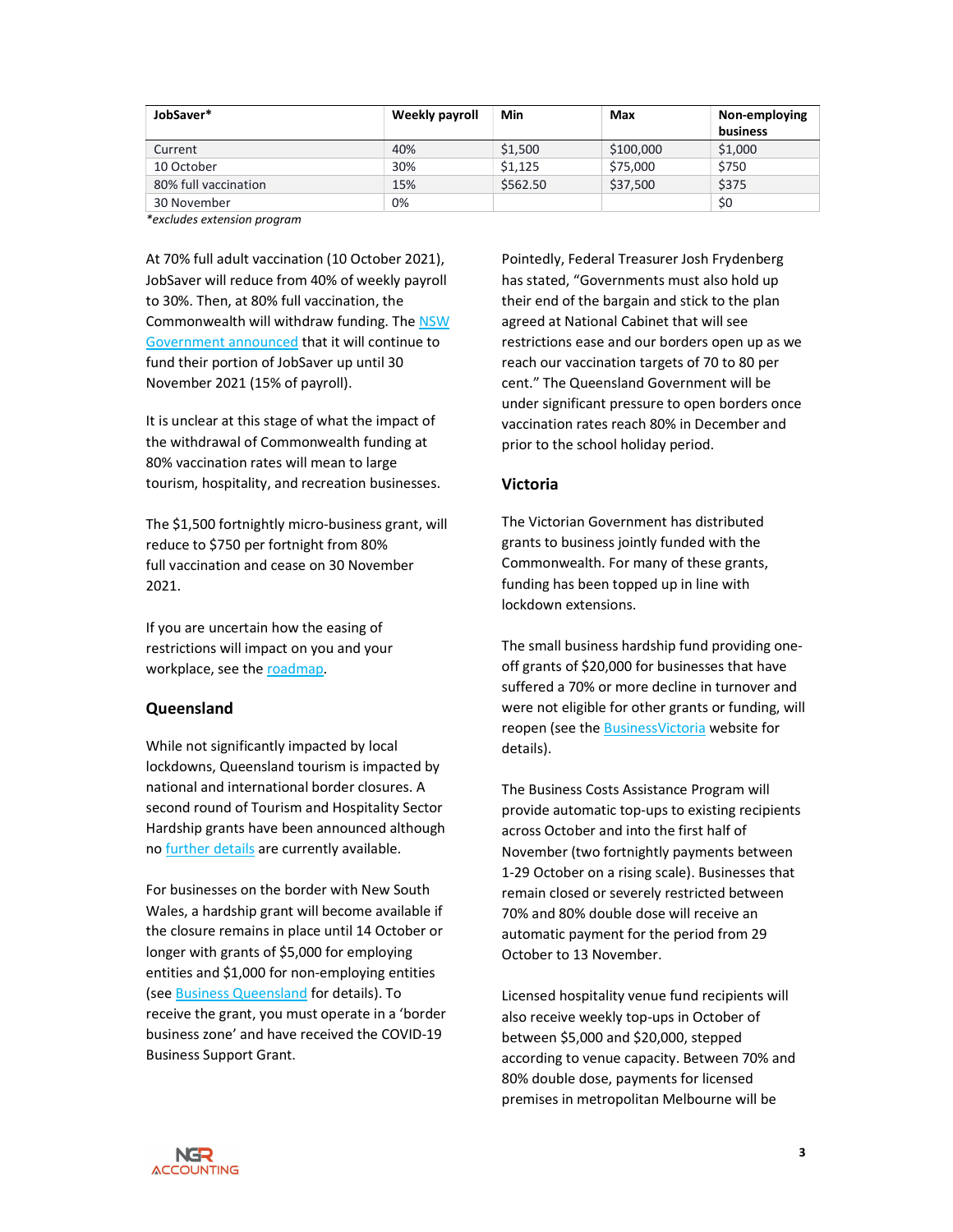| JobSaver*            | Weekly payroll | Min      | Max       | Non-employing<br>business |
|----------------------|----------------|----------|-----------|---------------------------|
| Current              | 40%            | \$1,500  | \$100,000 | \$1,000                   |
| 10 October           | 30%            | \$1,125  | \$75,000  | \$750                     |
| 80% full vaccination | 15%            | \$562.50 | \$37,500  | \$375                     |
| 30 November          | 0%             |          |           | \$0                       |

\*excludes extension program

At 70% full adult vaccination (10 October 2021), JobSaver will reduce from 40% of weekly payroll to 30%. Then, at 80% full vaccination, the Commonwealth will withdraw funding. The NSW Government announced that it will continue to fund their portion of JobSaver up until 30 November 2021 (15% of payroll).

It is unclear at this stage of what the impact of the withdrawal of Commonwealth funding at 80% vaccination rates will mean to large tourism, hospitality, and recreation businesses.

The \$1,500 fortnightly micro-business grant, will reduce to \$750 per fortnight from 80% full vaccination and cease on 30 November 2021.

If you are uncertain how the easing of restrictions will impact on you and your workplace, see the roadmap.

#### Queensland

While not significantly impacted by local lockdowns, Queensland tourism is impacted by national and international border closures. A second round of Tourism and Hospitality Sector Hardship grants have been announced although no further details are currently available.

For businesses on the border with New South Wales, a hardship grant will become available if the closure remains in place until 14 October or longer with grants of \$5,000 for employing entities and \$1,000 for non-employing entities (see Business Queensland for details). To receive the grant, you must operate in a 'border business zone' and have received the COVID-19 Business Support Grant.

Pointedly, Federal Treasurer Josh Frydenberg has stated, "Governments must also hold up their end of the bargain and stick to the plan agreed at National Cabinet that will see restrictions ease and our borders open up as we reach our vaccination targets of 70 to 80 per cent." The Queensland Government will be under significant pressure to open borders once vaccination rates reach 80% in December and prior to the school holiday period.

#### Victoria

The Victorian Government has distributed grants to business jointly funded with the Commonwealth. For many of these grants, funding has been topped up in line with lockdown extensions.

The small business hardship fund providing oneoff grants of \$20,000 for businesses that have suffered a 70% or more decline in turnover and were not eligible for other grants or funding, will reopen (see the BusinessVictoria website for details).

The Business Costs Assistance Program will provide automatic top-ups to existing recipients across October and into the first half of November (two fortnightly payments between 1-29 October on a rising scale). Businesses that remain closed or severely restricted between 70% and 80% double dose will receive an automatic payment for the period from 29 October to 13 November.

Licensed hospitality venue fund recipients will also receive weekly top-ups in October of between \$5,000 and \$20,000, stepped according to venue capacity. Between 70% and 80% double dose, payments for licensed premises in metropolitan Melbourne will be

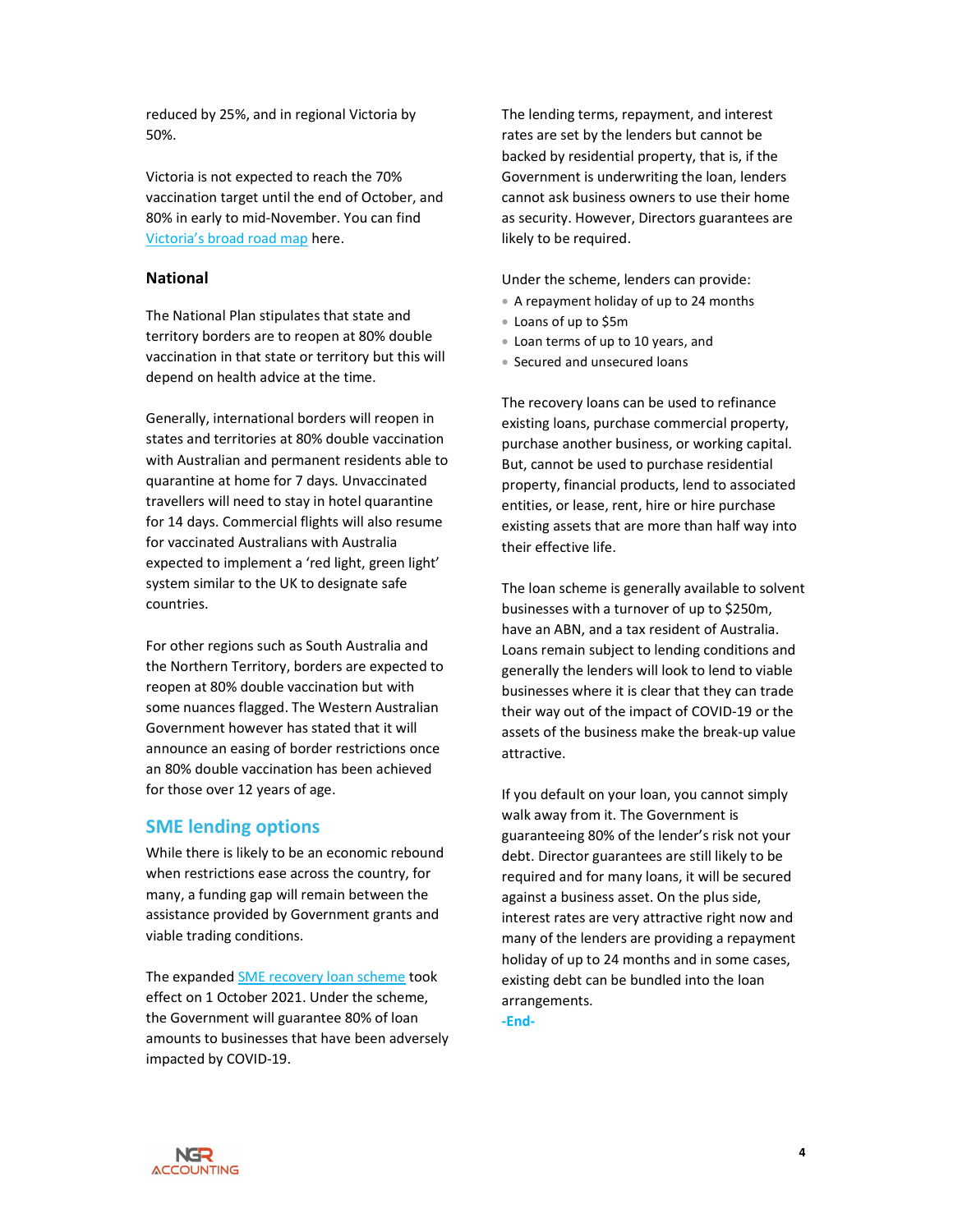reduced by 25%, and in regional Victoria by 50%.

Victoria is not expected to reach the 70% vaccination target until the end of October, and 80% in early to mid-November. You can find Victoria's broad road map here.

#### National

The National Plan stipulates that state and territory borders are to reopen at 80% double vaccination in that state or territory but this will depend on health advice at the time.

Generally, international borders will reopen in states and territories at 80% double vaccination with Australian and permanent residents able to quarantine at home for 7 days. Unvaccinated travellers will need to stay in hotel quarantine for 14 days. Commercial flights will also resume for vaccinated Australians with Australia expected to implement a 'red light, green light' system similar to the UK to designate safe countries.

For other regions such as South Australia and the Northern Territory, borders are expected to reopen at 80% double vaccination but with some nuances flagged. The Western Australian Government however has stated that it will announce an easing of border restrictions once an 80% double vaccination has been achieved for those over 12 years of age.

#### SME lending options

While there is likely to be an economic rebound when restrictions ease across the country, for many, a funding gap will remain between the assistance provided by Government grants and viable trading conditions.

The expanded SME recovery loan scheme took effect on 1 October 2021. Under the scheme, the Government will guarantee 80% of loan amounts to businesses that have been adversely impacted by COVID-19.

The lending terms, repayment, and interest rates are set by the lenders but cannot be backed by residential property, that is, if the Government is underwriting the loan, lenders cannot ask business owners to use their home as security. However, Directors guarantees are likely to be required.

Under the scheme, lenders can provide:

- A repayment holiday of up to 24 months
- Loans of up to \$5m
- Loan terms of up to 10 years, and
- Secured and unsecured loans

The recovery loans can be used to refinance existing loans, purchase commercial property, purchase another business, or working capital. But, cannot be used to purchase residential property, financial products, lend to associated entities, or lease, rent, hire or hire purchase existing assets that are more than half way into their effective life.

The loan scheme is generally available to solvent businesses with a turnover of up to \$250m, have an ABN, and a tax resident of Australia. Loans remain subject to lending conditions and generally the lenders will look to lend to viable businesses where it is clear that they can trade their way out of the impact of COVID-19 or the assets of the business make the break-up value attractive.

If you default on your loan, you cannot simply walk away from it. The Government is guaranteeing 80% of the lender's risk not your debt. Director guarantees are still likely to be required and for many loans, it will be secured against a business asset. On the plus side, interest rates are very attractive right now and many of the lenders are providing a repayment holiday of up to 24 months and in some cases, existing debt can be bundled into the loan arrangements. -End-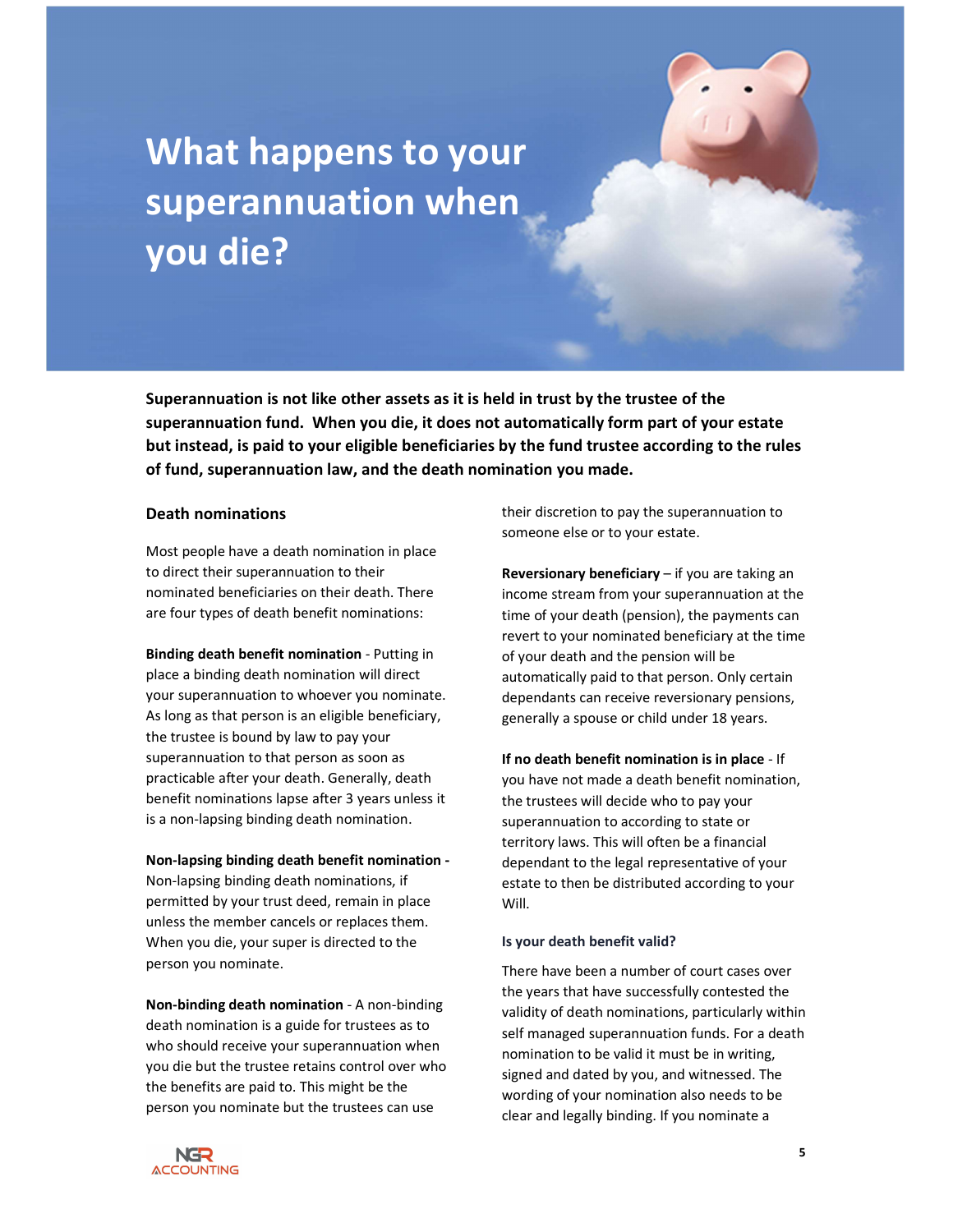## What happens to your superannuation when you die?

Superannuation is not like other assets as it is held in trust by the trustee of the superannuation fund. When you die, it does not automatically form part of your estate but instead, is paid to your eligible beneficiaries by the fund trustee according to the rules of fund, superannuation law, and the death nomination you made.

#### Death nominations

Most people have a death nomination in place to direct their superannuation to their nominated beneficiaries on their death. There are four types of death benefit nominations:

Binding death benefit nomination - Putting in place a binding death nomination will direct your superannuation to whoever you nominate. As long as that person is an eligible beneficiary, the trustee is bound by law to pay your superannuation to that person as soon as practicable after your death. Generally, death benefit nominations lapse after 3 years unless it is a non-lapsing binding death nomination.

#### Non-lapsing binding death benefit nomination -

Non-lapsing binding death nominations, if permitted by your trust deed, remain in place unless the member cancels or replaces them. When you die, your super is directed to the person you nominate.

Non-binding death nomination - A non-binding death nomination is a guide for trustees as to who should receive your superannuation when you die but the trustee retains control over who the benefits are paid to. This might be the person you nominate but the trustees can use

their discretion to pay the superannuation to someone else or to your estate.

Reversionary beneficiary – if you are taking an income stream from your superannuation at the time of your death (pension), the payments can revert to your nominated beneficiary at the time of your death and the pension will be automatically paid to that person. Only certain dependants can receive reversionary pensions, generally a spouse or child under 18 years.

If no death benefit nomination is in place - If you have not made a death benefit nomination, the trustees will decide who to pay your superannuation to according to state or territory laws. This will often be a financial dependant to the legal representative of your estate to then be distributed according to your Will.

#### Is your death benefit valid?

There have been a number of court cases over the years that have successfully contested the validity of death nominations, particularly within self managed superannuation funds. For a death nomination to be valid it must be in writing, signed and dated by you, and witnessed. The wording of your nomination also needs to be clear and legally binding. If you nominate a